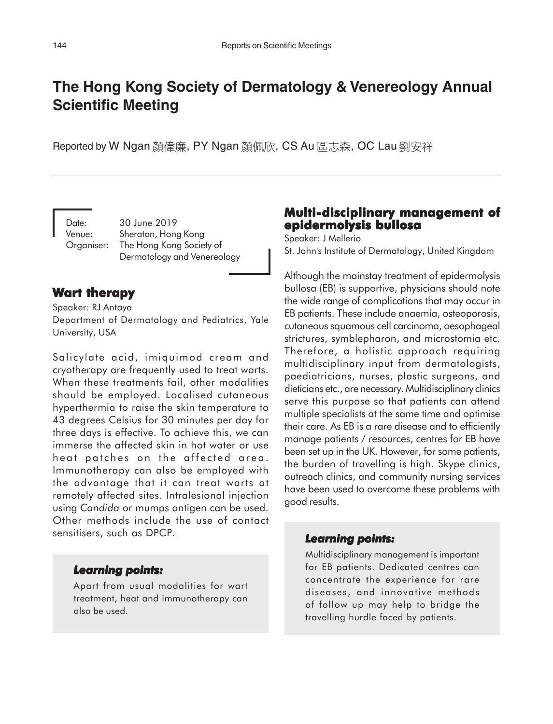# **The Hong Kong Society of Dermatology & Venereology Annual Scientific Meeting**

Reported by W Ngan 顏偉廉, PY Ngan 顏佩欣, CS Au 區志森, OC Lau 劉安祥

Date: 30 June 2019 Venue: Sheraton, Hong Kong Organiser: The Hong Kong Society of Dermatology and Venereology

### **Wart therapy**

Speaker: RJ Antaya

Department of Dermatology and Pediatrics, Yale University, USA

Salicylate acid, imiquimod cream and cryotherapy are frequently used to treat warts. When these treatments fail, other modalities should be employed. Localised cutaneous hyperthermia to raise the skin temperature to 43 degrees Celsius for 30 minutes per day for three days is effective. To achieve this, we can immerse the affected skin in hot water or use heat patches on the affected area. Immunotherapy can also be employed with the advantage that it can treat warts at remotely affected sites. Intralesional injection using *Candida* or mumps antigen can be used. Other methods include the use of contact sensitisers, such as DPCP.

# **Multi-disciplinary management of Multi-disciplinary of epidermolysis bullosa**

Speaker: J Mellerio St. John's Institute of Dermatology, United Kingdom

Although the mainstay treatment of epidermolysis bullosa (EB) is supportive, physicians should note the wide range of complications that may occur in EB patients. These include anaemia, osteoporosis, cutaneous squamous cell carcinoma, oesophageal strictures, symblepharon, and microstomia etc. Therefore, a holistic approach requiring multidisciplinary input from dermatologists, paediatricians, nurses, plastic surgeons, and dieticians etc., are necessary. Multidisciplinary clinics serve this purpose so that patients can attend multiple specialists at the same time and optimise their care. As EB is a rare disease and to efficiently manage patients / resources, centres for EB have been set up in the UK. However, for some patients, the burden of travelling is high. Skype clinics, outreach clinics, and community nursing services have been used to overcome these problems with good results.

### *Learning points: points:*

Multidisciplinary management is important for EB patients. Dedicated centres can concentrate the experience for rare diseases, and innovative methods of follow up may help to bridge the travelling hurdle faced by patients.

### *Learning points: Learning points:*

Apart from usual modalities for wart treatment, heat and immunotherapy can also be used.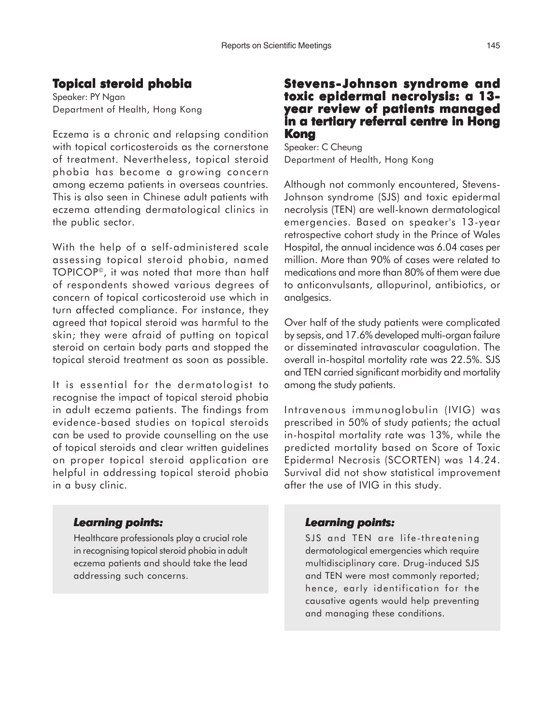# **Topical steroid phobia**

Speaker: PY Ngan Department of Health, Hong Kong

Eczema is a chronic and relapsing condition with topical corticosteroids as the cornerstone of treatment. Nevertheless, topical steroid phobia has become a growing concern among eczema patients in overseas countries. This is also seen in Chinese adult patients with eczema attending dermatological clinics in the public sector.

With the help of a self-administered scale assessing topical steroid phobia, named TOPICOP©, it was noted that more than half of respondents showed various degrees of concern of topical corticosteroid use which in turn affected compliance. For instance, they agreed that topical steroid was harmful to the skin; they were afraid of putting on topical steroid on certain body parts and stopped the topical steroid treatment as soon as possible.

It is essential for the dermatologist to recognise the impact of topical steroid phobia in adult eczema patients. The findings from evidence-based studies on topical steroids can be used to provide counselling on the use of topical steroids and clear written guidelines on proper topical steroid application are helpful in addressing topical steroid phobia in a busy clinic.

#### *Learning points: Learning points:*

Healthcare professionals play a crucial role in recognising topical steroid phobia in adult eczema patients and should take the lead addressing such concerns.

### **Stevens-Johnson syndrome and toxic epidermal necrolysis: a 13 year review of patients managed in a tertiary referral centre in Hong Kong**

Speaker: C Cheung Department of Health, Hong Kong

Although not commonly encountered, Stevens-Johnson syndrome (SJS) and toxic epidermal necrolysis (TEN) are well-known dermatological emergencies. Based on speaker's 13-year retrospective cohort study in the Prince of Wales Hospital, the annual incidence was 6.04 cases per million. More than 90% of cases were related to medications and more than 80% of them were due to anticonvulsants, allopurinol, antibiotics, or analgesics.

Over half of the study patients were complicated by sepsis, and 17.6% developed multi-organ failure or disseminated intravascular coagulation. The overall in-hospital mortality rate was 22.5%. SJS and TEN carried significant morbidity and mortality among the study patients.

Intravenous immunoglobulin (IVIG) was prescribed in 50% of study patients; the actual in-hospital mortality rate was 13%, while the predicted mortality based on Score of Toxic Epidermal Necrosis (SCORTEN) was 14.24. Survival did not show statistical improvement after the use of IVIG in this study.

#### *Learning points: points:*

SJS and TEN are life-threatening dermatological emergencies which require multidisciplinary care. Drug-induced SJS and TEN were most commonly reported; hence, early identification for the causative agents would help preventing and managing these conditions.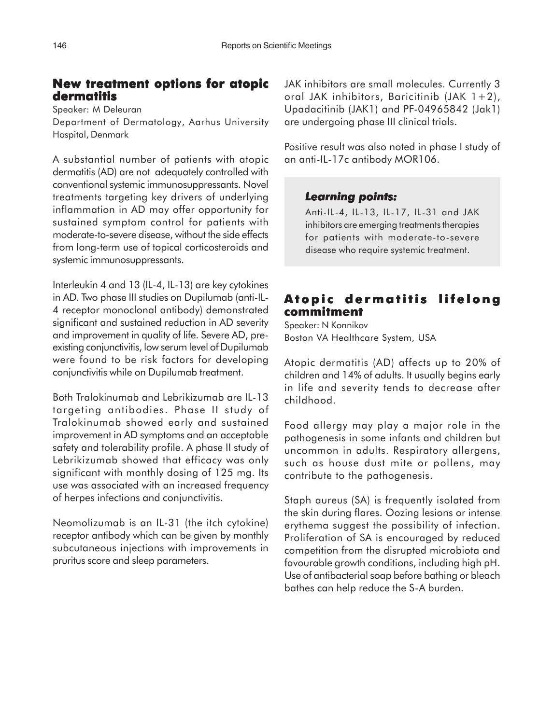# **New treatment options for atopic dermatitis**

Speaker: M Deleuran

Department of Dermatology, Aarhus University Hospital, Denmark

A substantial number of patients with atopic dermatitis (AD) are not adequately controlled with conventional systemic immunosuppressants. Novel treatments targeting key drivers of underlying inflammation in AD may offer opportunity for sustained symptom control for patients with moderate-to-severe disease, without the side effects from long-term use of topical corticosteroids and systemic immunosuppressants.

Interleukin 4 and 13 (IL-4, IL-13) are key cytokines in AD. Two phase III studies on Dupilumab (anti-IL-4 receptor monoclonal antibody) demonstrated significant and sustained reduction in AD severity and improvement in quality of life. Severe AD, preexisting conjunctivitis, low serum level of Dupilumab were found to be risk factors for developing conjunctivitis while on Dupilumab treatment.

Both Tralokinumab and Lebrikizumab are IL-13 targeting antibodies. Phase II study of Tralokinumab showed early and sustained improvement in AD symptoms and an acceptable safety and tolerability profile. A phase II study of Lebrikizumab showed that efficacy was only significant with monthly dosing of 125 mg. Its use was associated with an increased frequency of herpes infections and conjunctivitis.

Neomolizumab is an IL-31 (the itch cytokine) receptor antibody which can be given by monthly subcutaneous injections with improvements in pruritus score and sleep parameters.

JAK inhibitors are small molecules. Currently 3 oral JAK inhibitors, Baricitinib (JAK 1+2), Upadacitinib (JAK1) and PF-04965842 (Jak1) are undergoing phase III clinical trials.

Positive result was also noted in phase I study of an anti-IL-17c antibody MOR106.

# *Learning points: Learning points:*

Anti-IL-4, IL-13, IL-17, IL-31 and JAK inhibitors are emerging treatments therapies for patients with moderate-to-severe disease who require systemic treatment.

# **Atopic dermatitis lifelong commitment**

Speaker: N Konnikov Boston VA Healthcare System, USA

Atopic dermatitis (AD) affects up to 20% of children and 14% of adults. It usually begins early in life and severity tends to decrease after childhood.

Food allergy may play a major role in the pathogenesis in some infants and children but uncommon in adults. Respiratory allergens, such as house dust mite or pollens, may contribute to the pathogenesis.

Staph aureus (SA) is frequently isolated from the skin during flares. Oozing lesions or intense erythema suggest the possibility of infection. Proliferation of SA is encouraged by reduced competition from the disrupted microbiota and favourable growth conditions, including high pH. Use of antibacterial soap before bathing or bleach bathes can help reduce the S-A burden.